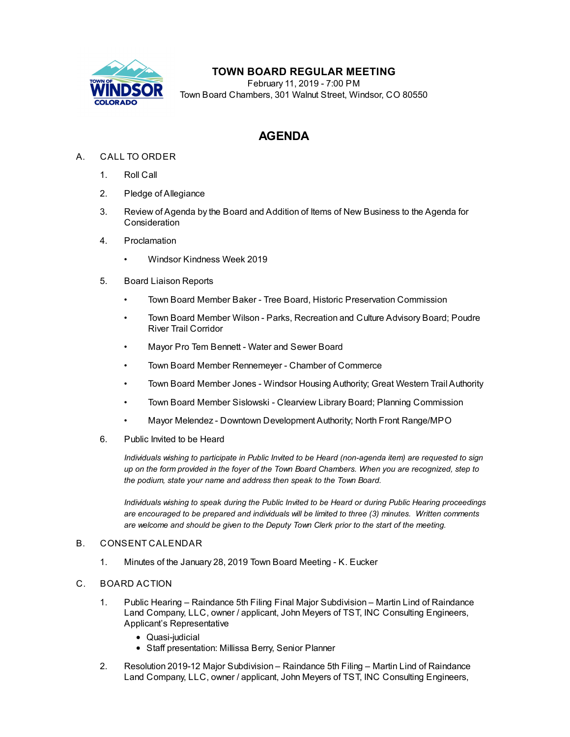

## **TOWN BOARD REGULAR MEETING**

February 11, 2019 - 7:00 PM Town Board Chambers, 301 Walnut Street, Windsor, CO 80550

# **AGENDA**

## A. CALL TO ORDER

- 1. Roll Call
- 2. Pledge of Allegiance
- 3. Review of Agenda by the Board and Addition of Items of New Business to the Agenda for Consideration
- 4. Proclamation
	- Windsor [Kindness](file:///C:/Windows/TEMP/CoverSheet.aspx?ItemID=207&MeetingID=30) Week 2019
- 5. Board Liaison Reports
	- Town Board Member Baker Tree Board, Historic Preservation Commission
	- Town Board Member Wilson Parks, Recreation and Culture Advisory Board; Poudre River Trail Corridor
	- Mayor Pro Tem Bennett Water and Sewer Board
	- Town Board Member Rennemeyer Chamber of Commerce
	- Town Board Member Jones Windsor Housing Authority; Great Western Trail Authority
	- Town Board Member Sislowski Clearview Library Board; Planning Commission
	- Mayor Melendez Downtown Development Authority; North Front Range/MPO
- 6. Public Invited to be Heard

*Individuals wishing to participate in Public Invited to be Heard (non-agenda item) are requested to sign* up on the form provided in the foyer of the Town Board Chambers. When you are recognized, step to *the podium, state your name and address then speak to the Town Board.*

*Individuals wishing to speak during the Public Invited to be Heard or during Public Hearing proceedings are encouraged to be prepared and individuals will be limited to three (3) minutes. Written comments are welcome and should be given to the Deputy Town Clerk prior to the start of the meeting.*

### B. CONSENT CALENDAR

1. Minutes of the January 28, 2019 Town Board [Meeting](file:///C:/Windows/TEMP/CoverSheet.aspx?ItemID=221&MeetingID=30) - K. Eucker

### C. BOARD ACTION

- 1. Public Hearing Raindance 5th Filing Final Major Subdivision Martin Lind of Raindance Land Company, LLC, owner / applicant, John Meyers of TST, INC Consulting Engineers, Applicant's [Representative](file:///C:/Windows/TEMP/CoverSheet.aspx?ItemID=204&MeetingID=30)
	- Quasi-judicial
	- Staff presentation: Millissa Berry, Senior Planner
- 2. Resolution 2019-12 Major [Subdivision](file:///C:/Windows/TEMP/CoverSheet.aspx?ItemID=205&MeetingID=30) Raindance 5th Filing Martin Lind of Raindance Land Company, LLC, owner / applicant, John Meyers of TST, INC Consulting Engineers,